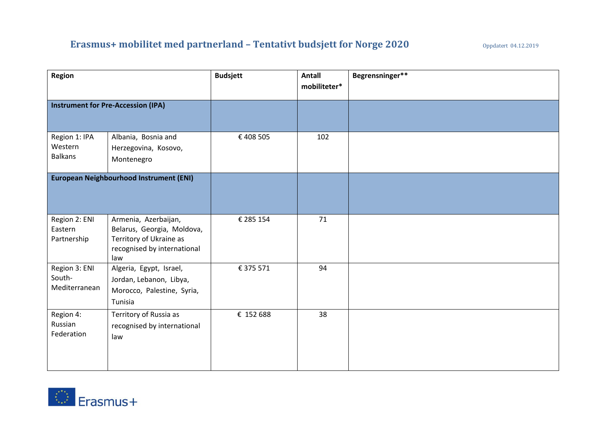# **Erasmus+ mobilitet med partnerland – Tentativt budsjett for Norge 2020** Oppdatert 04.12.2019

| Region                                     |                                                                                                                     | <b>Budsjett</b> | Antall<br>mobiliteter* | Begrensninger** |
|--------------------------------------------|---------------------------------------------------------------------------------------------------------------------|-----------------|------------------------|-----------------|
| <b>Instrument for Pre-Accession (IPA)</b>  |                                                                                                                     |                 |                        |                 |
| Region 1: IPA<br>Western<br><b>Balkans</b> | Albania, Bosnia and<br>Herzegovina, Kosovo,<br>Montenegro                                                           | €408505         | 102                    |                 |
| European Neighbourhood Instrument (ENI)    |                                                                                                                     |                 |                        |                 |
| Region 2: ENI<br>Eastern<br>Partnership    | Armenia, Azerbaijan,<br>Belarus, Georgia, Moldova,<br>Territory of Ukraine as<br>recognised by international<br>law | € 285 154       | 71                     |                 |
| Region 3: ENI<br>South-<br>Mediterranean   | Algeria, Egypt, Israel,<br>Jordan, Lebanon, Libya,<br>Morocco, Palestine, Syria,<br>Tunisia                         | € 375 571       | 94                     |                 |
| Region 4:<br>Russian<br>Federation         | Territory of Russia as<br>recognised by international<br>law                                                        | € 152 688       | 38                     |                 |

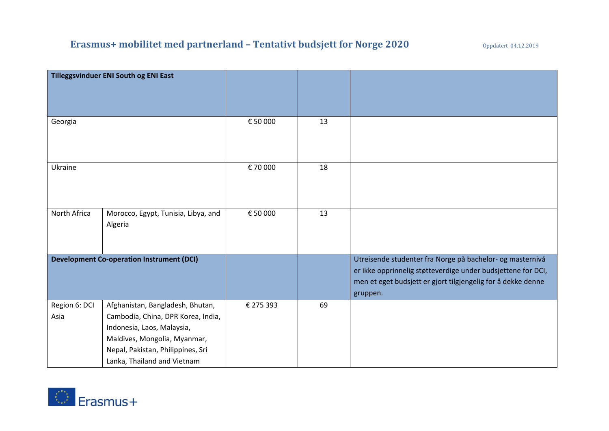|                                                  | Tilleggsvinduer ENI South og ENI East                                                                                                                                                                    |           |    |                                                                                                                                                                                                       |
|--------------------------------------------------|----------------------------------------------------------------------------------------------------------------------------------------------------------------------------------------------------------|-----------|----|-------------------------------------------------------------------------------------------------------------------------------------------------------------------------------------------------------|
| Georgia                                          |                                                                                                                                                                                                          | € 50 000  | 13 |                                                                                                                                                                                                       |
| Ukraine                                          |                                                                                                                                                                                                          | € 70 000  | 18 |                                                                                                                                                                                                       |
| North Africa                                     | Morocco, Egypt, Tunisia, Libya, and<br>Algeria                                                                                                                                                           | € 50 000  | 13 |                                                                                                                                                                                                       |
| <b>Development Co-operation Instrument (DCI)</b> |                                                                                                                                                                                                          |           |    | Utreisende studenter fra Norge på bachelor- og masternivå<br>er ikke opprinnelig støtteverdige under budsjettene for DCI,<br>men et eget budsjett er gjort tilgjengelig for å dekke denne<br>gruppen. |
| Region 6: DCI<br>Asia                            | Afghanistan, Bangladesh, Bhutan,<br>Cambodia, China, DPR Korea, India,<br>Indonesia, Laos, Malaysia,<br>Maldives, Mongolia, Myanmar,<br>Nepal, Pakistan, Philippines, Sri<br>Lanka, Thailand and Vietnam | € 275 393 | 69 |                                                                                                                                                                                                       |

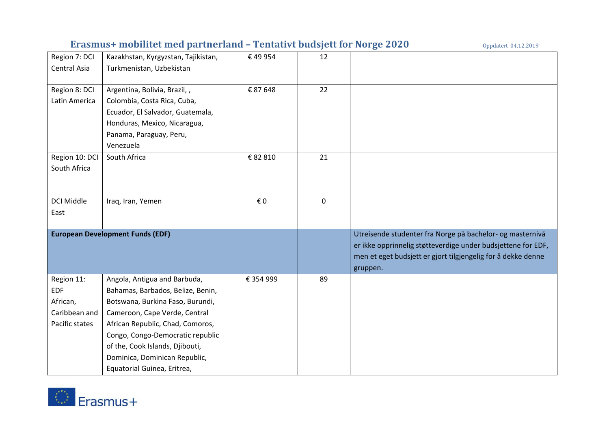# **Erasmus+ mobilitet med partnerland – Tentativt budsjett for Norge 2020** Oppdatert 04.12.2019

| Region 7: DCI     | Kazakhstan, Kyrgyzstan, Tajikistan,     | €49954    | 12          |                                                              |
|-------------------|-----------------------------------------|-----------|-------------|--------------------------------------------------------------|
| Central Asia      | Turkmenistan, Uzbekistan                |           |             |                                                              |
| Region 8: DCI     | Argentina, Bolivia, Brazil,,            | € 87 648  | 22          |                                                              |
| Latin America     | Colombia, Costa Rica, Cuba,             |           |             |                                                              |
|                   | Ecuador, El Salvador, Guatemala,        |           |             |                                                              |
|                   | Honduras, Mexico, Nicaragua,            |           |             |                                                              |
|                   | Panama, Paraguay, Peru,                 |           |             |                                                              |
|                   | Venezuela                               |           |             |                                                              |
| Region 10: DCI    | South Africa                            | € 82 810  | 21          |                                                              |
| South Africa      |                                         |           |             |                                                              |
|                   |                                         |           |             |                                                              |
| <b>DCI Middle</b> | Iraq, Iran, Yemen                       | € 0       | $\mathbf 0$ |                                                              |
| East              |                                         |           |             |                                                              |
|                   |                                         |           |             |                                                              |
|                   | <b>European Development Funds (EDF)</b> |           |             | Utreisende studenter fra Norge på bachelor- og masternivå    |
|                   |                                         |           |             | er ikke opprinnelig støtteverdige under budsjettene for EDF, |
|                   |                                         |           |             | men et eget budsjett er gjort tilgjengelig for å dekke denne |
|                   |                                         |           |             | gruppen.                                                     |
| Region 11:        | Angola, Antigua and Barbuda,            | € 354 999 | 89          |                                                              |
| <b>EDF</b>        | Bahamas, Barbados, Belize, Benin,       |           |             |                                                              |
| African,          | Botswana, Burkina Faso, Burundi,        |           |             |                                                              |
| Caribbean and     | Cameroon, Cape Verde, Central           |           |             |                                                              |
| Pacific states    | African Republic, Chad, Comoros,        |           |             |                                                              |
|                   | Congo, Congo-Democratic republic        |           |             |                                                              |
|                   | of the, Cook Islands, Djibouti,         |           |             |                                                              |
|                   | Dominica, Dominican Republic,           |           |             |                                                              |
|                   | Equatorial Guinea, Eritrea,             |           |             |                                                              |

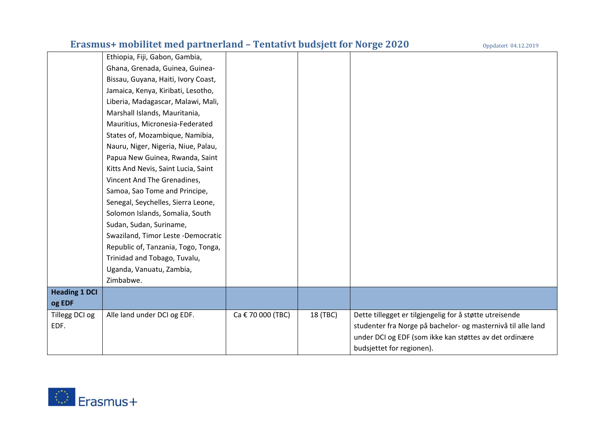# **Erasmus+ mobilitet med partnerland - Tentativt budsjett for Norge 2020**

|                      | Ethiopia, Fiji, Gabon, Gambia,      |                   |          |                                                              |
|----------------------|-------------------------------------|-------------------|----------|--------------------------------------------------------------|
|                      | Ghana, Grenada, Guinea, Guinea-     |                   |          |                                                              |
|                      | Bissau, Guyana, Haiti, Ivory Coast, |                   |          |                                                              |
|                      | Jamaica, Kenya, Kiribati, Lesotho,  |                   |          |                                                              |
|                      | Liberia, Madagascar, Malawi, Mali,  |                   |          |                                                              |
|                      | Marshall Islands, Mauritania,       |                   |          |                                                              |
|                      | Mauritius, Micronesia-Federated     |                   |          |                                                              |
|                      | States of, Mozambique, Namibia,     |                   |          |                                                              |
|                      | Nauru, Niger, Nigeria, Niue, Palau, |                   |          |                                                              |
|                      | Papua New Guinea, Rwanda, Saint     |                   |          |                                                              |
|                      | Kitts And Nevis, Saint Lucia, Saint |                   |          |                                                              |
|                      | Vincent And The Grenadines,         |                   |          |                                                              |
|                      | Samoa, Sao Tome and Principe,       |                   |          |                                                              |
|                      | Senegal, Seychelles, Sierra Leone,  |                   |          |                                                              |
|                      | Solomon Islands, Somalia, South     |                   |          |                                                              |
|                      | Sudan, Sudan, Suriname,             |                   |          |                                                              |
|                      | Swaziland, Timor Leste -Democratic  |                   |          |                                                              |
|                      | Republic of, Tanzania, Togo, Tonga, |                   |          |                                                              |
|                      | Trinidad and Tobago, Tuvalu,        |                   |          |                                                              |
|                      | Uganda, Vanuatu, Zambia,            |                   |          |                                                              |
|                      | Zimbabwe.                           |                   |          |                                                              |
| <b>Heading 1 DCI</b> |                                     |                   |          |                                                              |
| og EDF               |                                     |                   |          |                                                              |
| Tillegg DCI og       | Alle land under DCI og EDF.         | Ca € 70 000 (TBC) | 18 (TBC) | Dette tillegget er tilgjengelig for å støtte utreisende      |
| EDF.                 |                                     |                   |          | studenter fra Norge på bachelor- og masternivå til alle land |
|                      |                                     |                   |          | under DCI og EDF (som ikke kan støttes av det ordinære       |
|                      |                                     |                   |          | budsjettet for regionen).                                    |

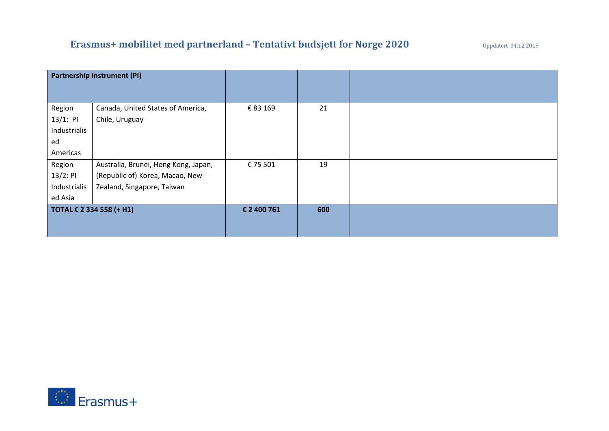# **Erasmus+ mobilitet med partnerland – Tentativt budsjett for Norge 2020** Oppdatert 04.12.2019

| <b>Partnership Instrument (PI)</b> |                                      |             |     |  |
|------------------------------------|--------------------------------------|-------------|-----|--|
|                                    |                                      |             |     |  |
| Region                             | Canada, United States of America,    | € 83 169    | 21  |  |
| $13/1:$ PI                         | Chile, Uruguay                       |             |     |  |
| Industrialis                       |                                      |             |     |  |
| ed                                 |                                      |             |     |  |
| Americas                           |                                      |             |     |  |
| Region                             | Australia, Brunei, Hong Kong, Japan, | € 75 501    | 19  |  |
| $13/2:$ PI                         | (Republic of) Korea, Macao, New      |             |     |  |
| Industrialis                       | Zealand, Singapore, Taiwan           |             |     |  |
| ed Asia                            |                                      |             |     |  |
| TOTAL € 2 334 558 (+ H1)           |                                      | € 2 400 761 | 600 |  |
|                                    |                                      |             |     |  |
|                                    |                                      |             |     |  |